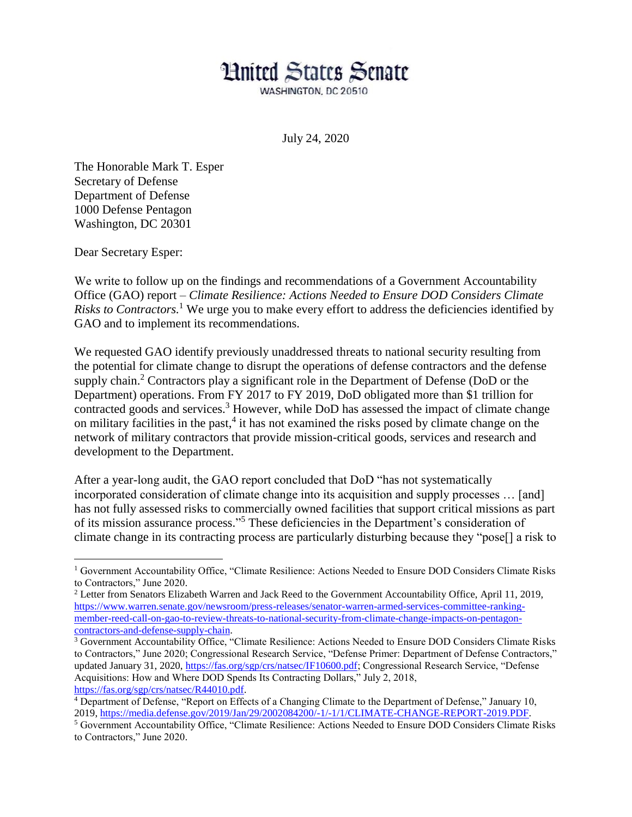## **Hnited States Senate**

WASHINGTON, DC 20510

July 24, 2020

The Honorable Mark T. Esper Secretary of Defense Department of Defense 1000 Defense Pentagon Washington, DC 20301

Dear Secretary Esper:

We write to follow up on the findings and recommendations of a Government Accountability Office (GAO) report – *Climate Resilience: Actions Needed to Ensure DOD Considers Climate*  Risks to Contractors.<sup>1</sup> We urge you to make every effort to address the deficiencies identified by GAO and to implement its recommendations.

We requested GAO identify previously unaddressed threats to national security resulting from the potential for climate change to disrupt the operations of defense contractors and the defense supply chain.<sup>2</sup> Contractors play a significant role in the Department of Defense (DoD or the Department) operations. From FY 2017 to FY 2019, DoD obligated more than \$1 trillion for contracted goods and services.<sup>3</sup> However, while DoD has assessed the impact of climate change on military facilities in the past, 4 it has not examined the risks posed by climate change on the network of military contractors that provide mission-critical goods, services and research and development to the Department.

After a year-long audit, the GAO report concluded that DoD "has not systematically incorporated consideration of climate change into its acquisition and supply processes … [and] has not fully assessed risks to commercially owned facilities that support critical missions as part of its mission assurance process." <sup>5</sup> These deficiencies in the Department's consideration of climate change in its contracting process are particularly disturbing because they "pose[] a risk to

<sup>1</sup> Government Accountability Office, "Climate Resilience: Actions Needed to Ensure DOD Considers Climate Risks to Contractors," June 2020.

<sup>2</sup> Letter from Senators Elizabeth Warren and Jack Reed to the Government Accountability Office, April 11, 2019, [https://www.warren.senate.gov/newsroom/press-releases/senator-warren-armed-services-committee-ranking](https://www.warren.senate.gov/newsroom/press-releases/senator-warren-armed-services-committee-ranking-member-reed-call-on-gao-to-review-threats-to-national-security-from-climate-change-impacts-on-pentagon-contractors-and-defense-supply-chain)[member-reed-call-on-gao-to-review-threats-to-national-security-from-climate-change-impacts-on-pentagon](https://www.warren.senate.gov/newsroom/press-releases/senator-warren-armed-services-committee-ranking-member-reed-call-on-gao-to-review-threats-to-national-security-from-climate-change-impacts-on-pentagon-contractors-and-defense-supply-chain)[contractors-and-defense-supply-chain.](https://www.warren.senate.gov/newsroom/press-releases/senator-warren-armed-services-committee-ranking-member-reed-call-on-gao-to-review-threats-to-national-security-from-climate-change-impacts-on-pentagon-contractors-and-defense-supply-chain)

<sup>&</sup>lt;sup>3</sup> Government Accountability Office, "Climate Resilience: Actions Needed to Ensure DOD Considers Climate Risks to Contractors," June 2020; Congressional Research Service, "Defense Primer: Department of Defense Contractors," updated January 31, 2020, [https://fas.org/sgp/crs/natsec/IF10600.pdf;](https://fas.org/sgp/crs/natsec/IF10600.pdf) Congressional Research Service, "Defense Acquisitions: How and Where DOD Spends Its Contracting Dollars," July 2, 2018, [https://fas.org/sgp/crs/natsec/R44010.pdf.](https://fas.org/sgp/crs/natsec/R44010.pdf)

<sup>4</sup> Department of Defense, "Report on Effects of a Changing Climate to the Department of Defense," January 10, 2019, [https://media.defense.gov/2019/Jan/29/2002084200/-1/-1/1/CLIMATE-CHANGE-REPORT-2019.PDF.](https://media.defense.gov/2019/Jan/29/2002084200/-1/-1/1/CLIMATE-CHANGE-REPORT-2019.PDF)

<sup>5</sup> Government Accountability Office, "Climate Resilience: Actions Needed to Ensure DOD Considers Climate Risks to Contractors," June 2020.